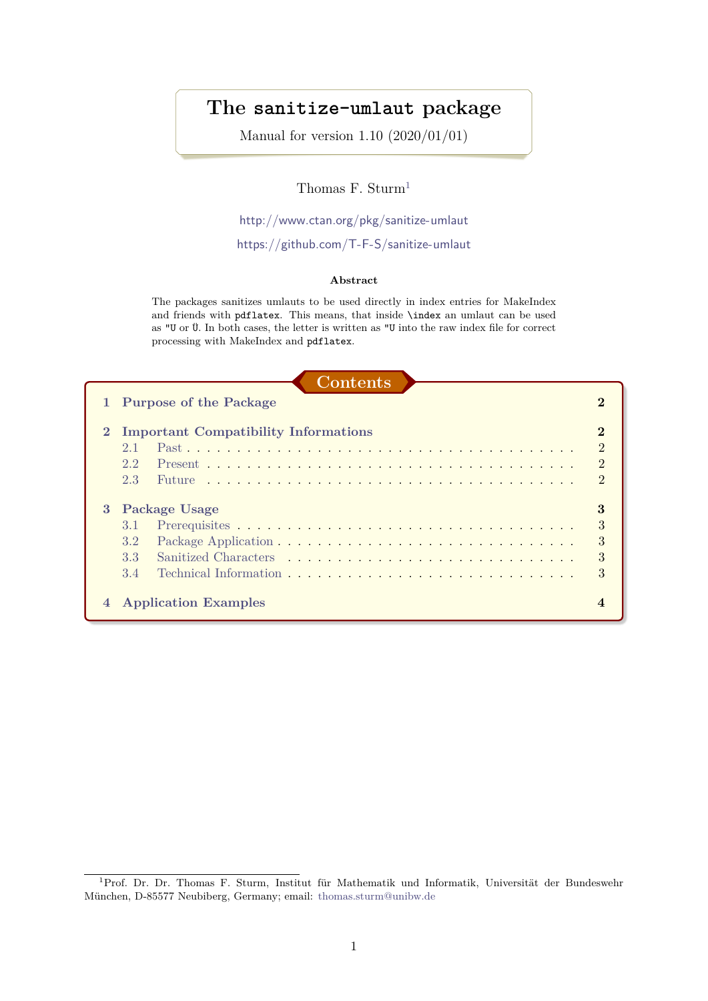# **The sanitize-umlaut package**

Manual for version 1.10 (2020/01/01)

## Thomas F. Sturm<sup>[1](#page-0-0)</sup>

<http://www.ctan.org/pkg/sanitize-umlaut>

## <https://github.com/T-F-S/sanitize-umlaut>

#### **Abstract**

The packages sanitizes umlauts to be used directly in index entries for MakeIndex and friends with pdflatex. This means, that inside \index an umlaut can be used as "U or Ü. In both cases, the letter is written as "U into the raw index file for correct processing with MakeIndex and pdflatex.

| Contents |  |
|----------|--|
|          |  |
|          |  |

|              | 1 Purpose of the Package                    |                |
|--------------|---------------------------------------------|----------------|
| $\mathbf{2}$ | <b>Important Compatibility Informations</b> | $\mathcal{D}$  |
|              | 21                                          | $\overline{2}$ |
|              | 2.2.                                        | $\mathcal{D}$  |
|              | 2.3<br><b>Future</b>                        | $\Omega$       |
| 3            | <b>Package Usage</b>                        |                |
|              | 3.1                                         | 3              |
|              | 3.2                                         | 3              |
|              | 3.3                                         | 3              |
|              | 3.4                                         | 3              |
|              | <b>Application Examples</b>                 |                |

<span id="page-0-0"></span><sup>1</sup>Prof. Dr. Dr. Thomas F. Sturm, Institut für Mathematik und Informatik, Universität der Bundeswehr München, D-85577 Neubiberg, Germany; email: [thomas.sturm@unibw.de](mailto:thomas.sturm@unibw.de)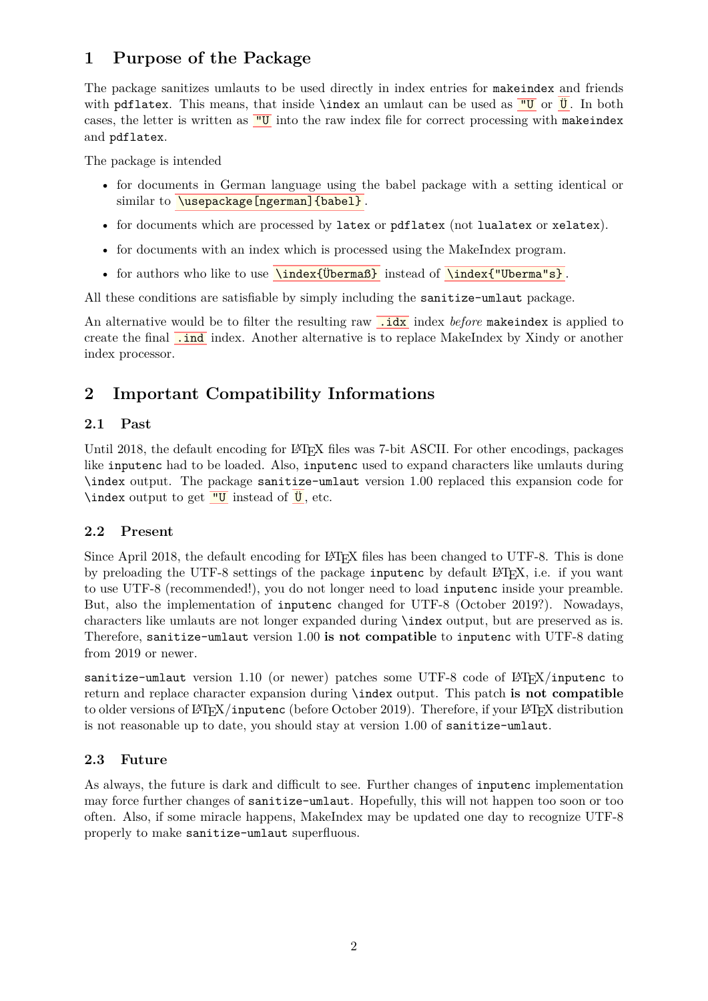# <span id="page-1-0"></span>**1 Purpose of the Package**

The package sanitizes umlauts to be used directly in index entries for makeindex and friends with pdflatex. This means, that inside \index an umlaut can be used as  $\overline{U}$  or  $\overline{U}$ . In both cases, the letter is written as  $\frac{''U}{''U}$  into the raw index file for correct processing with makeindex and pdflatex.

The package is intended

- for documents in German language using the babel package with a setting identical or similar to **\usepackage[ngerman]{babel}**.
- for documents which are processed by latex or pdflatex (not lualatex or xelatex).
- for documents with an index which is processed using the MakeIndex program.
- for authors who like to use **\index{Upermaß}** instead of **\index{"Uperma"s}**.

All these conditions are satisfiable by simply including the sanitize-umlaut package.

An alternative would be to filter the resulting raw **idam** index *before* makeindex is applied to create the final **.ind** index. Another alternative is to replace MakeIndex by Xindy or another index processor.

# <span id="page-1-1"></span>**2 Important Compatibility Informations**

## <span id="page-1-2"></span>**2.1 Past**

Until 2018, the default encoding for LATEX files was 7-bit ASCII. For other encodings, packages like inputenc had to be loaded. Also, inputenc used to expand characters like umlauts during \index output. The package sanitize-umlaut version 1.00 replaced this expansion code for \index output to get  $''U$  instead of  $'U$ , etc.

## <span id="page-1-3"></span>**2.2 Present**

Since April 2018, the default encoding for LATEX files has been changed to UTF-8. This is done by preloading the UTF-8 settings of the package inputenc by default LAT<sub>EX</sub>, i.e. if you want to use UTF-8 (recommended!), you do not longer need to load inputenc inside your preamble. But, also the implementation of inputenc changed for UTF-8 (October 2019?). Nowadays, characters like umlauts are not longer expanded during \index output, but are preserved as is. Therefore, sanitize-umlaut version 1.00 **is not compatible** to inputenc with UTF-8 dating from 2019 or newer.

sanitize-umlaut version 1.10 (or newer) patches some UTF-8 code of  $LATEX/inputenc$  to return and replace character expansion during \index output. This patch **is not compatible** to older versions of LAT<sub>E</sub>X/inputenc (before October 2019). Therefore, if your LAT<sub>E</sub>X distribution is not reasonable up to date, you should stay at version 1.00 of sanitize-umlaut.

## <span id="page-1-4"></span>**2.3 Future**

As always, the future is dark and difficult to see. Further changes of inputenc implementation may force further changes of sanitize-umlaut. Hopefully, this will not happen too soon or too often. Also, if some miracle happens, MakeIndex may be updated one day to recognize UTF-8 properly to make sanitize-umlaut superfluous.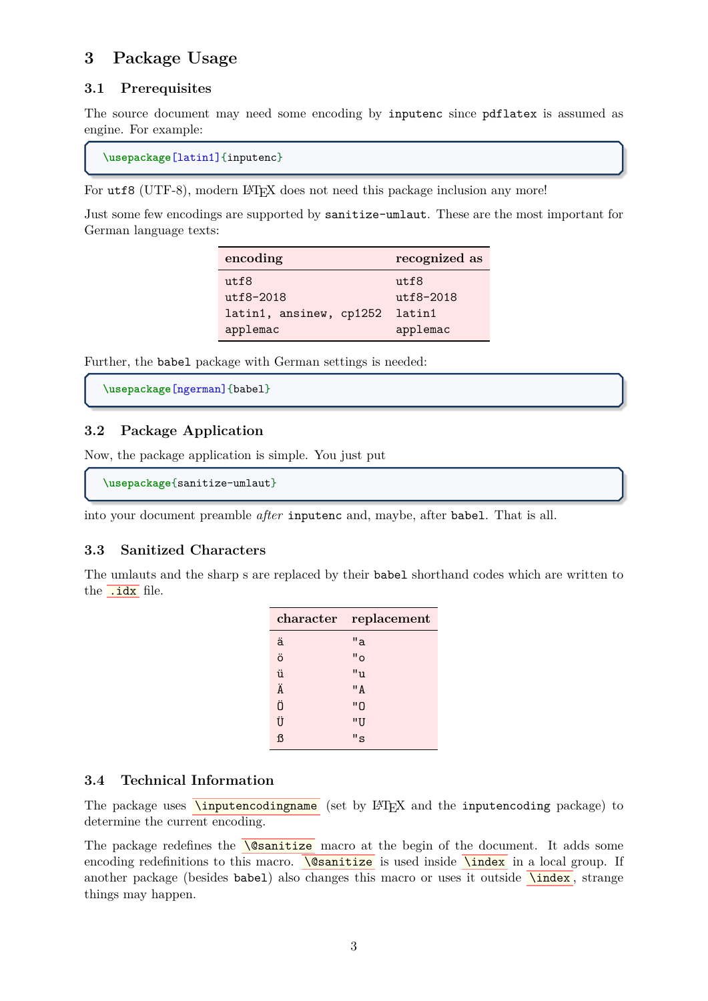# <span id="page-2-0"></span>**3 Package Usage**

## <span id="page-2-1"></span>**3.1 Prerequisites**

The source document may need some encoding by inputenc since pdflatex is assumed as engine. For example:

```
\usepackage[latin1]{inputenc}
```
For utf8 (UTF-8), modern LAT<sub>EX</sub> does not need this package inclusion any more!

Just some few encodings are supported by sanitize-umlaut. These are the most important for German language texts:

| encoding                | recognized as |
|-------------------------|---------------|
| utf8                    | utf8          |
| $utf8-2018$             | utf8-2018     |
| latin1, ansinew, cp1252 | latin1        |
| applemac                | applemac      |

Further, the babel package with German settings is needed:

```
\usepackage[ngerman]{babel}
```
## <span id="page-2-2"></span>**3.2 Package Application**

Now, the package application is simple. You just put

```
\usepackage{sanitize-umlaut}
```
into your document preamble *after* inputenc and, maybe, after babel. That is all.

#### <span id="page-2-3"></span>**3.3 Sanitized Characters**

The umlauts and the sharp s are replaced by their babel shorthand codes which are written to the .idx file.

|   | character replacement |
|---|-----------------------|
| ä | "a                    |
| ö | "o                    |
| ü | "u                    |
| Ä | "A                    |
| Ö | "0                    |
| Ü | "U                    |
| ß | "s                    |

#### <span id="page-2-4"></span>**3.4 Technical Information**

The package uses  $\overline{\text{Ninputencoding}}$  (set by  $\text{MTEX}$  and the inputencoding package) to determine the current encoding.

The package redefines the  $\sqrt{\text{dsanitize}}$  macro at the begin of the document. It adds some encoding redefinitions to this macro.  $\sqrt{\text{osanitize}}$  is used inside  $\sqrt{\text{index}}$  in a local group. If another package (besides babel) also changes this macro or uses it outside  $\overline{\hat{\ }}$  strange things may happen.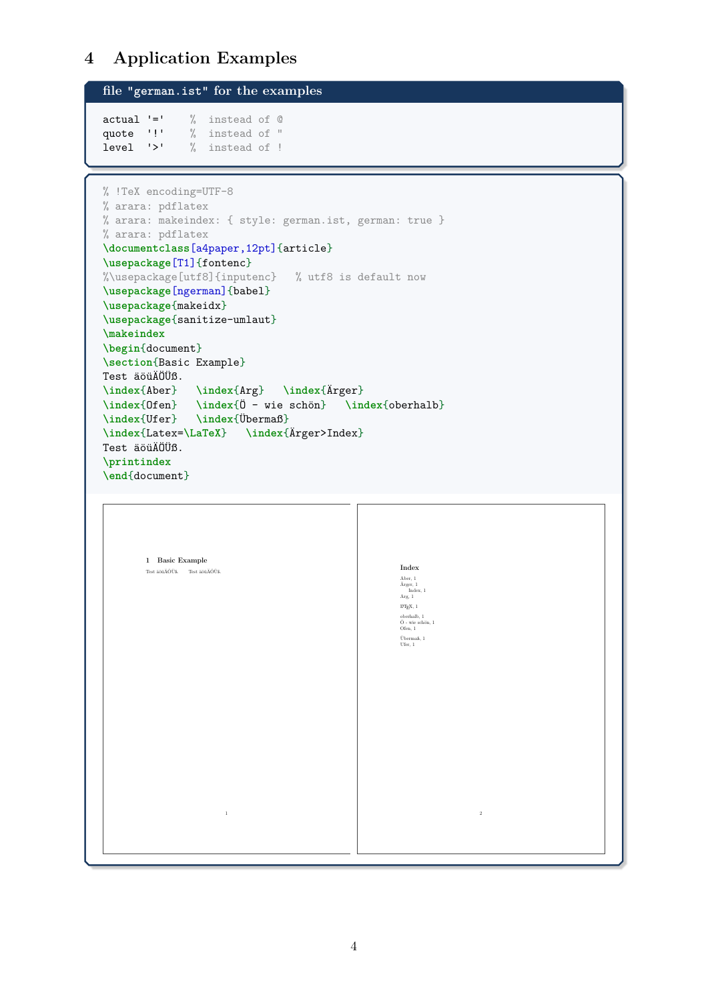# <span id="page-3-0"></span>**4 Application Examples**

```
file "german.ist" for the examples
actual '=' % instead of @
quote '!' % instead of "
level '>' % instead of !
```

```
% !TeX encoding=UTF-8
% arara: pdflatex
% arara: makeindex: { style: german.ist, german: true }
% arara: pdflatex
\documentclass[a4paper,12pt]{article}
\usepackage[T1]{fontenc}
%\usepackage[utf8]{inputenc} % utf8 is default now
\usepackage[ngerman]{babel}
\usepackage{makeidx}
\usepackage{sanitize-umlaut}
\makeindex
\begin{document}
\section{Basic Example}
Test äöüÄÖÜß.
\index{Aber} \index{Arg} \index{Ärger}
\index{Ofen} \index{Ö - wie schön} \index{oberhalb}
\index{Ufer} \index{Übermaß}
\index{Latex=\LaTeX} \index{Ärger>Index}
Test äöüÄÖÜß.
\printindex
\end{document}
```
1 Basic Example Test äöüÄÖÜß. Test äöüÄÖÜß. 1 Index Aber, 1 Ärger, 1 Index, 1 Arg, 1  $\ensuremath{\mathrm{LNT} \xspace}$  keV,  $1$ oberhalb, 1 Ö - wie schön, 1 Ofen, 1 Übermaß, 1 Ufer, 1 2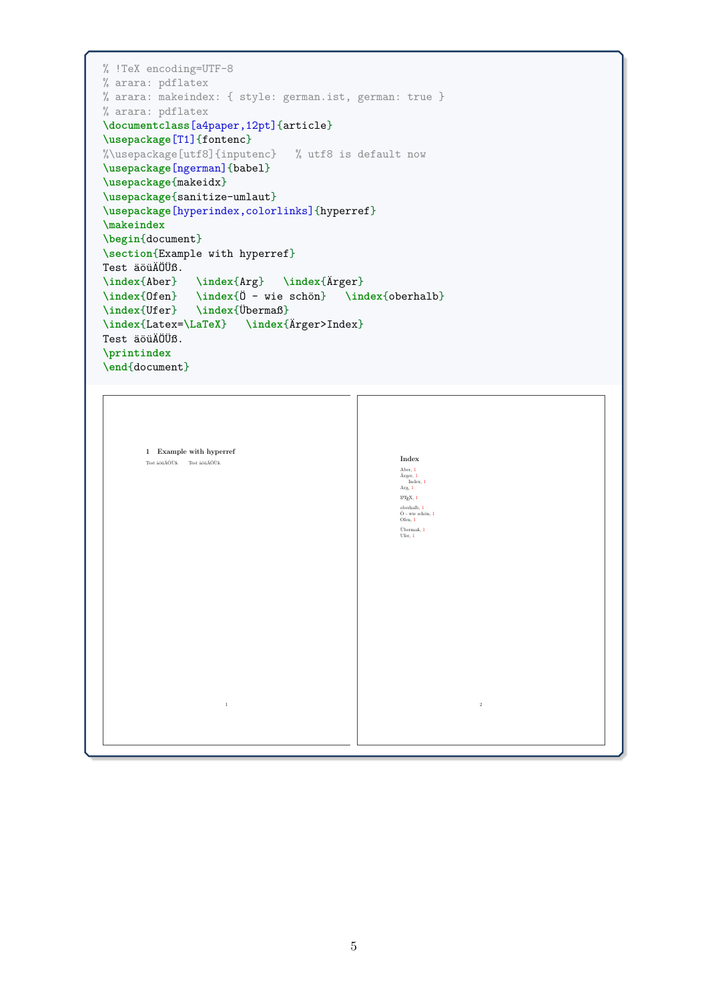```
% !TeX encoding=UTF-8
% arara: pdflatex
% arara: makeindex: { style: german.ist, german: true }
% arara: pdflatex
\documentclass[a4paper,12pt]{article}
\usepackage[T1]{fontenc}
%\usepackage[utf8]{inputenc} % utf8 is default now
\usepackage[ngerman]{babel}
\usepackage{makeidx}
\usepackage{sanitize-umlaut}
\usepackage[hyperindex,colorlinks]{hyperref}
\makeindex
\begin{document}
\section{Example with hyperref}
Test äöüÄÖÜß.
\index{Aber} \index{Arg} \index{Ärger}
\index{Ofen} \index{Ö - wie schön} \index{oberhalb}
\index{Ufer} \index{Übermaß}
\index{Latex=\LaTeX} \index{Ärger>Index}
Test äöüÄÖÜß.
\printindex
\end{document}
```
1 Example with hyperref Test äöüÄÖÜß. Test äöüÄÖÜß.

1

Index Aber, 1 Ärger, 1 Index, 1 Arg, 1  $M_EX$ , 1 oberhalb, 1<br>Ö - wie schön, 1<br>Ofen, 1 Übermaß, 1 Ufer, 1

2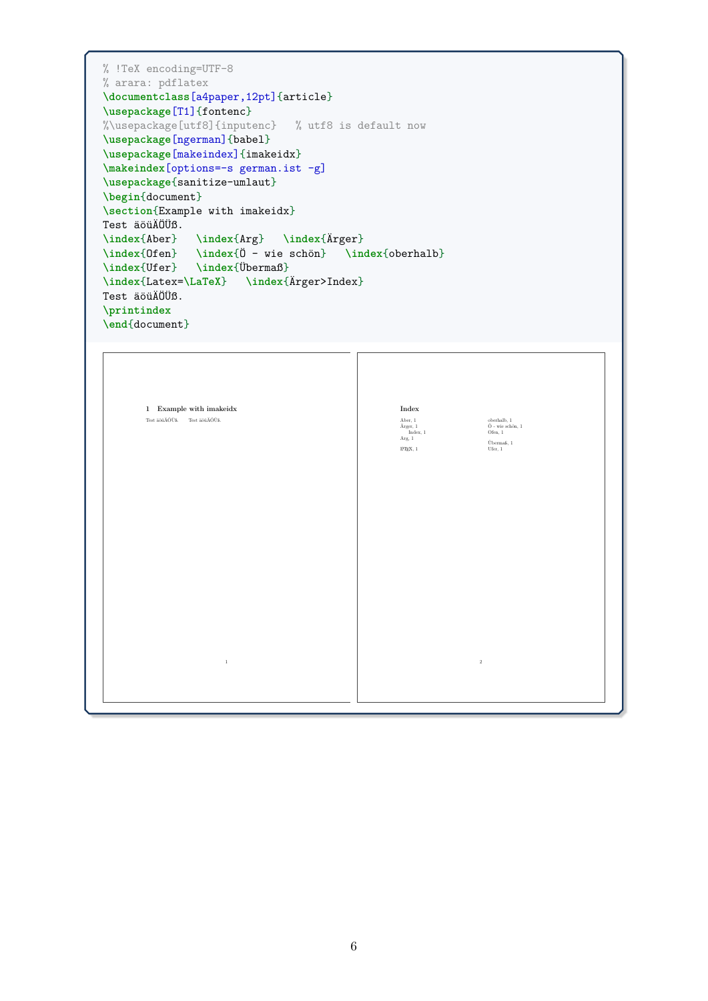```
% !TeX encoding=UTF-8
% arara: pdflatex
\documentclass[a4paper,12pt]{article}
\usepackage[T1]{fontenc}
%\usepackage[utf8]{inputenc} % utf8 is default now
\usepackage[ngerman]{babel}
\usepackage[makeindex]{imakeidx}
\makeindex[options=-s german.ist -g]
\usepackage{sanitize-umlaut}
\begin{document}
\section{Example with imakeidx}
Test äöüÄÖÜß.
\index{Aber} \index{Arg} \index{Ärger}
\index{Ofen} \index{Ö - wie schön} \index{oberhalb}
\index{Ufer} \index{Übermaß}
\index{Latex=\LaTeX} \index{Ärger>Index}
Test äöüÄÖÜß.
\printindex
\end{document}
```

| $1$ $\,$ Example with imakeidx   | $_{\rm Index}$                                                                                                                                                                     |  |
|----------------------------------|------------------------------------------------------------------------------------------------------------------------------------------------------------------------------------|--|
| Test äöüÄÖÜß. $\;$ Test äöüÄÖÜß. | Aber, 1 $\rm \AA{rger},$ 1<br>oberhalb, 1 $\bullet$ - wie schön, 1<br>$$\,{\rm Index},\,1$$ Arg, $1$<br>Ofen, 1<br>Übermaß, 1<br>$\text{H}\Gamma\text{E}\text{X},\,1$<br>Ufer, $1$ |  |
|                                  |                                                                                                                                                                                    |  |
|                                  |                                                                                                                                                                                    |  |
|                                  |                                                                                                                                                                                    |  |
| $1\,$                            | $\,2$                                                                                                                                                                              |  |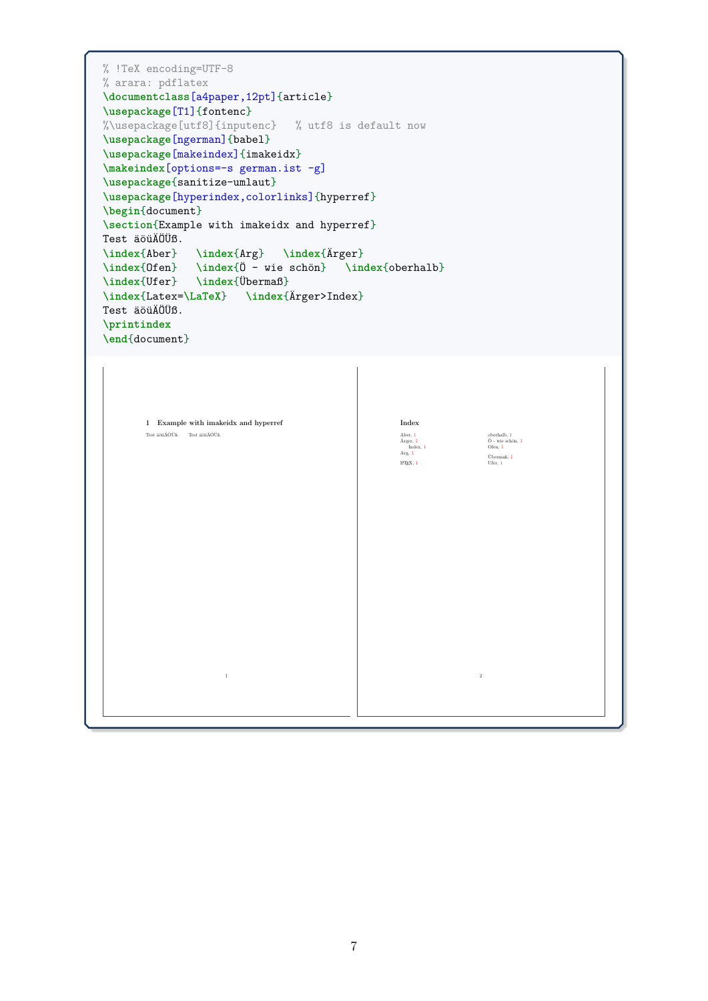```
% !TeX encoding=UTF-8
% arara: pdflatex
\documentclass[a4paper,12pt]{article}
\usepackage[T1]{fontenc}
%\usepackage[utf8]{inputenc} % utf8 is default now
\usepackage[ngerman]{babel}
\usepackage[makeindex]{imakeidx}
\makeindex[options=-s german.ist -g]
\usepackage{sanitize-umlaut}
\usepackage[hyperindex,colorlinks]{hyperref}
\begin{document}
\section{Example with imakeidx and hyperref}
Test äöüÄÖÜß.
\index{Aber} \index{Arg} \index{Ärger}
\index{Ofen} \index{Ö - wie schön} \index{oberhalb}
\index{Ufer} \index{Übermaß}
\index{Latex=\LaTeX} \index{Ärger>Index}
Test äöüÄÖÜß.
\printindex
\end{document}
```
 $\Gamma$ 

| $1$ $\,$ Example with imakeidx and hyperref | $_{\rm Index}$                                                                                                                                   |
|---------------------------------------------|--------------------------------------------------------------------------------------------------------------------------------------------------|
| Test äöüÄÖÜß. $\;$ Test äöüÄÖÜß.            | oberhalb, 1<br>Aber, 1<br>$\bullet$ - wie schön, $1$<br>Ärger, 1<br>Index, 1<br>Ofen, 1<br>Arg, $1$<br>Übermaß, 1<br>$E\!F\!E\!X,\,1$<br>Ufer, 1 |
| $\,1\,$                                     | $\,2\,$                                                                                                                                          |
|                                             |                                                                                                                                                  |